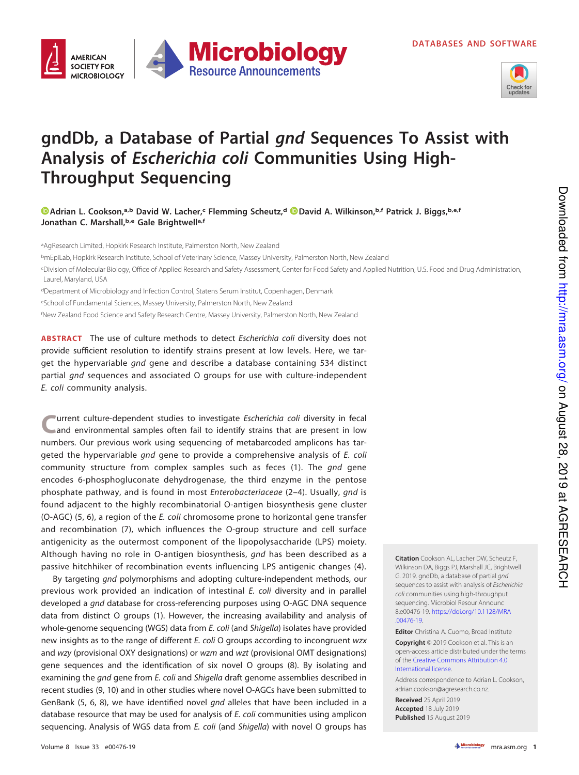

## **gndDb, a Database of Partial gnd Sequences To Assist with Analysis of Escherichia coli Communities Using High-Throughput Sequencing**

**Microbiology** 

**Resource Announcements** 

**[Adrian L. Cookson,](https://orcid.org/0000-0002-8197-3386)a,b David W. Lacher,<sup>c</sup> Flemming Scheutz,<sup>d</sup> [David A. Wilkinson,](https://orcid.org/0000-0002-9986-6212)b,f Patrick J. Biggs,b,e,f Jonathan C. Marshall,b,e Gale Brightwella,f**

<sup>a</sup>AgResearch Limited, Hopkirk Research Institute, Palmerston North, New Zealand

**AMERICAN SOCIETY FOR** 

**MICROBIOLOGY** 

<sup>b</sup>mEpiLab, Hopkirk Research Institute, School of Veterinary Science, Massey University, Palmerston North, New Zealand

<sup>c</sup>Division of Molecular Biology, Office of Applied Research and Safety Assessment, Center for Food Safety and Applied Nutrition, U.S. Food and Drug Administration, Laurel, Maryland, USA

dDepartment of Microbiology and Infection Control, Statens Serum Institut, Copenhagen, Denmark

<sup>e</sup>School of Fundamental Sciences, Massey University, Palmerston North, New Zealand

fNew Zealand Food Science and Safety Research Centre, Massey University, Palmerston North, New Zealand

**ABSTRACT** The use of culture methods to detect Escherichia coli diversity does not provide sufficient resolution to identify strains present at low levels. Here, we target the hypervariable gnd gene and describe a database containing 534 distinct partial gnd sequences and associated O groups for use with culture-independent E. coli community analysis.

**C** urrent culture-dependent studies to investigate Escherichia coli diversity in fecal and environmental samples often fail to identify strains that are present in low numbers. Our previous work using sequencing of metabarcoded amplicons has targeted the hypervariable gnd gene to provide a comprehensive analysis of E. coli community structure from complex samples such as feces [\(1\)](#page-1-0). The *gnd* gene encodes 6-phosphogluconate dehydrogenase, the third enzyme in the pentose phosphate pathway, and is found in most Enterobacteriaceae [\(2](#page-1-1)[–](#page-1-2)[4\)](#page-1-3). Usually, gnd is found adjacent to the highly recombinatorial O-antigen biosynthesis gene cluster (O-AGC) [\(5,](#page-1-4) [6\)](#page-1-5), a region of the E. coli chromosome prone to horizontal gene transfer and recombination [\(7\)](#page-1-6), which influences the O-group structure and cell surface antigenicity as the outermost component of the lipopolysaccharide (LPS) moiety. Although having no role in O-antigen biosynthesis, gnd has been described as a passive hitchhiker of recombination events influencing LPS antigenic changes [\(4\)](#page-1-3).

By targeting *gnd* polymorphisms and adopting culture-independent methods, our previous work provided an indication of intestinal E. coli diversity and in parallel developed a gnd database for cross-referencing purposes using O-AGC DNA sequence data from distinct O groups [\(1\)](#page-1-0). However, the increasing availability and analysis of whole-genome sequencing (WGS) data from *E. coli* (and Shigella) isolates have provided new insights as to the range of different E. coli O groups according to incongruent wzx and wzy (provisional OXY designations) or wzm and wzt (provisional OMT designations) gene sequences and the identification of six novel O groups [\(8\)](#page-1-7). By isolating and examining the *gnd* gene from *E. coli* and *Shigella* draft genome assemblies described in recent studies [\(9,](#page-1-8) [10\)](#page-1-9) and in other studies where novel O-AGCs have been submitted to GenBank [\(5,](#page-1-4) [6,](#page-1-5) [8\)](#page-1-7), we have identified novel gnd alleles that have been included in a database resource that may be used for analysis of E. coli communities using amplicon sequencing. Analysis of WGS data from E. coli (and Shigella) with novel O groups has

**Citation** Cookson AL, Lacher DW, Scheutz F, Wilkinson DA, Biggs PJ, Marshall JC, Brightwell G. 2019. gndDb, a database of partial gnd sequences to assist with analysis of Escherichia coli communities using high-throughput sequencing. Microbiol Resour Announc 8:e00476-19. [https://doi.org/10.1128/MRA](https://doi.org/10.1128/MRA.00476-19) [.00476-19.](https://doi.org/10.1128/MRA.00476-19)

**Editor** Christina A. Cuomo, Broad Institute

**Copyright** © 2019 Cookson et al. This is an open-access article distributed under the terms of the [Creative Commons Attribution 4.0](https://creativecommons.org/licenses/by/4.0/) [International license.](https://creativecommons.org/licenses/by/4.0/)

Address correspondence to Adrian L. Cookson, [adrian.cookson@agresearch.co.nz.](mailto:adrian.cookson@agresearch.co.nz)

**Received** 25 April 2019 **Accepted** 18 July 2019 **Published** 15 August 2019